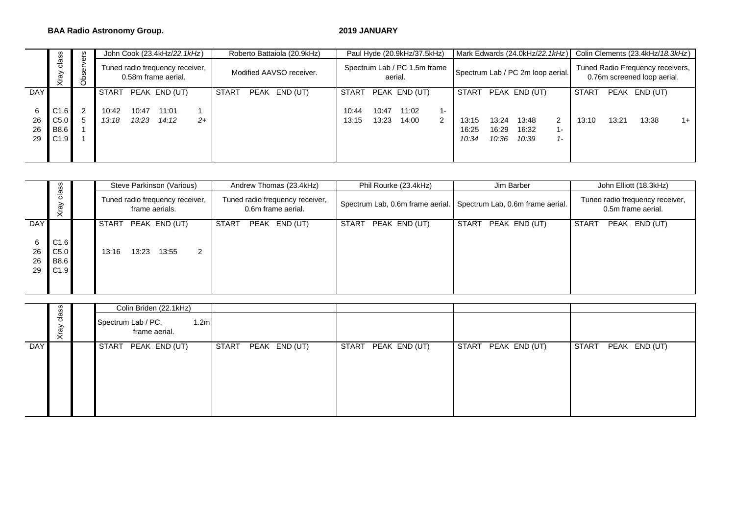### **BAA Radio Astronomy Group. 2019 JANUARY**

|                     | m                                               | ပ္မ          |                |                | John Cook (23.4kHz/22.1kHz)                            |      |              | Roberto Battaiola (20.9kHz) |                |                                                                              | Paul Hyde (20.9kHz/37.5kHz) |                         |                         |                         | Mark Edwards (24.0kHz/22.1kHz)                                  |            |       |       | Colin Clements (23.4kHz/18.3kHz) |      |
|---------------------|-------------------------------------------------|--------------|----------------|----------------|--------------------------------------------------------|------|--------------|-----------------------------|----------------|------------------------------------------------------------------------------|-----------------------------|-------------------------|-------------------------|-------------------------|-----------------------------------------------------------------|------------|-------|-------|----------------------------------|------|
|                     | clas<br>ৱি<br>⋩                                 | ۰<br>Φ<br>රි |                |                | Tuned radio frequency receiver,<br>0.58m frame aerial. |      |              | Modified AAVSO receiver.    |                | Spectrum Lab / PC 1.5m frame<br>Spectrum Lab / PC 2m loop aerial.<br>aerial. |                             |                         |                         |                         | Tuned Radio Frequency receivers,<br>0.76m screened loop aerial. |            |       |       |                                  |      |
| <b>DAY</b>          |                                                 |              | START          |                | PEAK END (UT)                                          |      | <b>START</b> | PEAK END (UT)               | START          |                                                                              | PEAK END (UT)               |                         | START                   |                         | PEAK END (UT)                                                   |            | START |       | PEAK END (UT)                    |      |
| 6<br>26<br>26<br>29 | C <sub>1.6</sub><br>C5.0<br><b>B8.6</b><br>C1.9 |              | 10:42<br>13:18 | 10:47<br>13:23 | 11:01<br>14:12                                         | $2+$ |              |                             | 10:44<br>13:15 | 10:47<br>13:23                                                               | 11:02<br>14:00              | $1 -$<br>$\overline{2}$ | 13:15<br>16:25<br>10:34 | 13:24<br>16:29<br>10:36 | 13:48<br>16:32<br>10:39                                         | 2<br>$1 -$ | 13:10 | 13:21 | 13:38                            | $1+$ |

|                     | ഗ                                   |  | Steve Parkinson (Various)                               | Andrew Thomas (23.4kHz)                               | Phil Rourke (23.4kHz)         | Jim Barber                                                        | John Elliott (18.3kHz)                                |  |  |  |  |  |
|---------------------|-------------------------------------|--|---------------------------------------------------------|-------------------------------------------------------|-------------------------------|-------------------------------------------------------------------|-------------------------------------------------------|--|--|--|--|--|
|                     | clas:<br>λě<br>₹.                   |  | Tuned radio frequency receiver,<br>frame aerials.       | Tuned radio frequency receiver,<br>0.6m frame aerial. |                               | Spectrum Lab, 0.6m frame aerial. Spectrum Lab, 0.6m frame aerial. | Tuned radio frequency receiver,<br>0.5m frame aerial. |  |  |  |  |  |
| <b>DAY</b>          |                                     |  | <b>START</b><br>PEAK END (UT)                           | <b>START</b><br>PEAK END (UT)                         | PEAK END (UT)<br><b>START</b> | <b>START</b><br>PEAK END (UT)                                     | <b>START</b><br>PEAK END (UT)                         |  |  |  |  |  |
| 6<br>26<br>26<br>29 | C1.6<br>C5.0<br><b>B8.6</b><br>C1.9 |  | 2<br>13:23<br>13:55<br>13:16                            |                                                       |                               |                                                                   |                                                       |  |  |  |  |  |
|                     |                                     |  |                                                         |                                                       |                               |                                                                   |                                                       |  |  |  |  |  |
|                     | SS                                  |  | Colin Briden (22.1kHz)                                  |                                                       |                               |                                                                   |                                                       |  |  |  |  |  |
|                     | 응<br>Xray                           |  | Spectrum Lab / PC,<br>1.2 <sub>m</sub><br>frame aerial. |                                                       |                               |                                                                   |                                                       |  |  |  |  |  |

|            |                  | Colin Briden (22.1kHz)                                  |                     |                     |                     |                                   |
|------------|------------------|---------------------------------------------------------|---------------------|---------------------|---------------------|-----------------------------------|
|            | class<br>λě<br>ξ | Spectrum Lab / PC,<br>1.2 <sub>m</sub><br>frame aerial. |                     |                     |                     |                                   |
| <b>DAY</b> |                  | START PEAK END (UT)                                     | START PEAK END (UT) | START PEAK END (UT) | START PEAK END (UT) | <b>START</b><br>$PEAK$ $END (UT)$ |
|            |                  |                                                         |                     |                     |                     |                                   |
|            |                  |                                                         |                     |                     |                     |                                   |
|            |                  |                                                         |                     |                     |                     |                                   |
|            |                  |                                                         |                     |                     |                     |                                   |
|            |                  |                                                         |                     |                     |                     |                                   |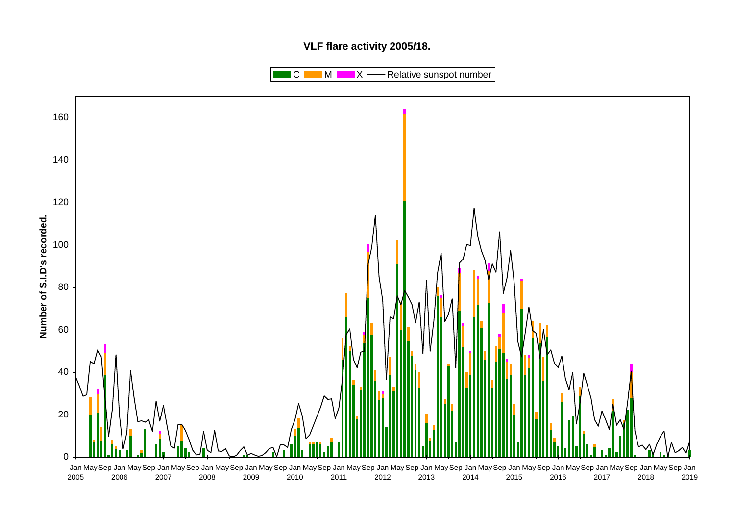# **VLF flare activity 2005/18.**

 $\blacksquare$  C  $\blacksquare$  M  $\blacksquare$   $\blacksquare$  X  $\blacksquare$  Relative sunspot number

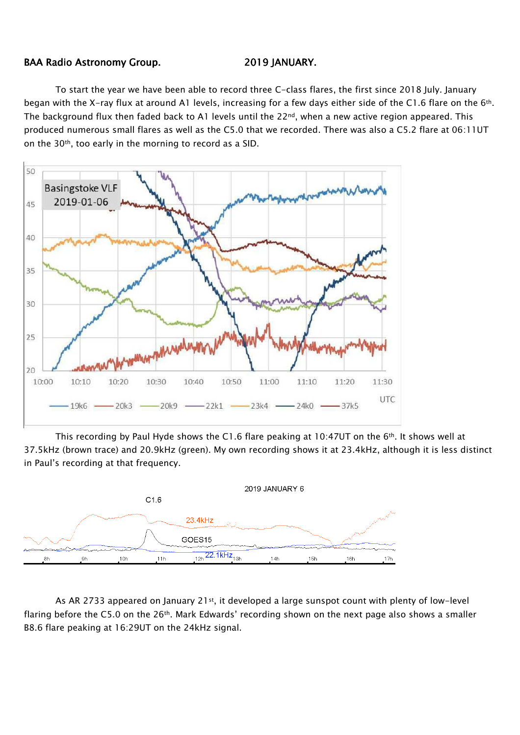## BAA Radio Astronomy Group. 2019 JANUARY.

To start the year we have been able to record three C-class flares, the first since 2018 July. January began with the X-ray flux at around A1 levels, increasing for a few days either side of the C1.6 flare on the 6<sup>th</sup>. The background flux then faded back to A1 levels until the 22<sup>nd</sup>, when a new active region appeared. This produced numerous small flares as well as the C5.0 that we recorded. There was also a C5.2 flare at 06:11UT on the 30th, too early in the morning to record as a SID.



This recording by Paul Hyde shows the C1.6 flare peaking at 10:47UT on the  $6<sup>th</sup>$ . It shows well at 37.5kHz (brown trace) and 20.9kHz (green). My own recording shows it at 23.4kHz, although it is less distinct in Paul's recording at that frequency.



As AR 2733 appeared on January 21<sup>st</sup>, it developed a large sunspot count with plenty of low-level flaring before the C5.0 on the  $26$ <sup>th</sup>. Mark Edwards' recording shown on the next page also shows a smaller B8.6 flare peaking at 16:29UT on the 24kHz signal.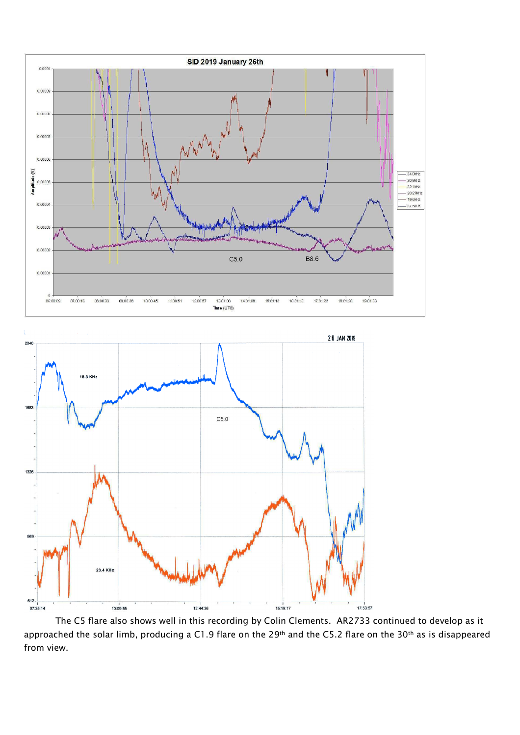



The C5 flare also shows well in this recording by Colin Clements. AR2733 continued to develop as it approached the solar limb, producing a C1.9 flare on the 29<sup>th</sup> and the C5.2 flare on the 30<sup>th</sup> as is disappeared from view.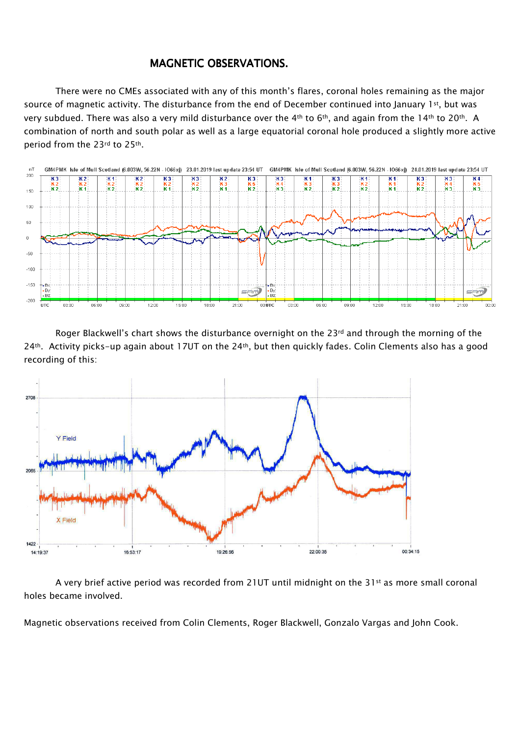# MAGNETIC OBSERVATIONS.

There were no CMEs associated with any of this month's flares, coronal holes remaining as the major source of magnetic activity. The disturbance from the end of December continued into January 1st, but was very subdued. There was also a very mild disturbance over the 4<sup>th</sup> to 6<sup>th</sup>, and again from the 14<sup>th</sup> to 20<sup>th</sup>. A combination of north and south polar as well as a large equatorial coronal hole produced a slightly more active period from the 23rd to 25th.



Roger Blackwell's chart shows the disturbance overnight on the 23<sup>rd</sup> and through the morning of the 24<sup>th</sup>. Activity picks-up again about 17UT on the 24<sup>th</sup>, but then quickly fades. Colin Clements also has a good recording of this:



A very brief active period was recorded from 21UT until midnight on the 31<sup>st</sup> as more small coronal holes became involved.

Magnetic observations received from Colin Clements, Roger Blackwell, Gonzalo Vargas and John Cook.